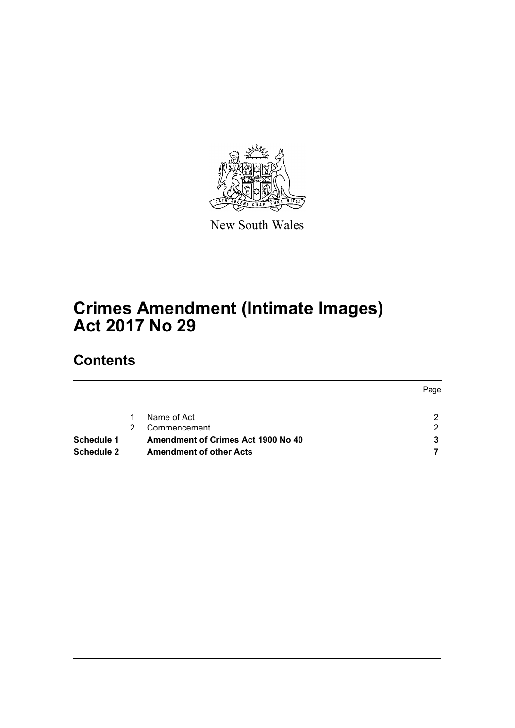

New South Wales

# **Crimes Amendment (Intimate Images) Act 2017 No 29**

# **Contents**

|                   |                                           | Page |
|-------------------|-------------------------------------------|------|
|                   | Name of Act                               |      |
|                   | Commencement                              | ົ    |
| <b>Schedule 1</b> | <b>Amendment of Crimes Act 1900 No 40</b> |      |
| <b>Schedule 2</b> | <b>Amendment of other Acts</b>            |      |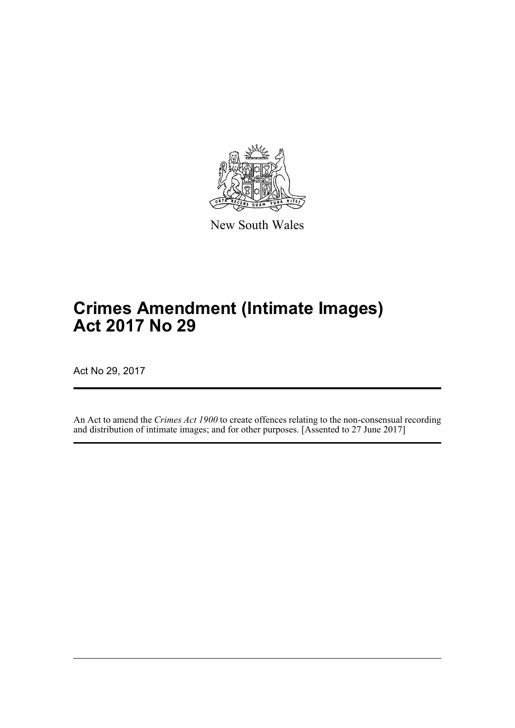

New South Wales

# **Crimes Amendment (Intimate Images) Act 2017 No 29**

Act No 29, 2017

An Act to amend the *Crimes Act 1900* to create offences relating to the non-consensual recording and distribution of intimate images; and for other purposes. [Assented to 27 June 2017]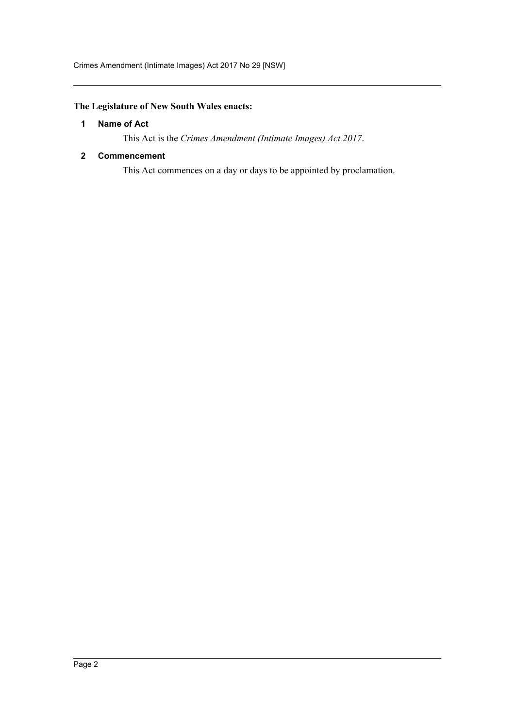Crimes Amendment (Intimate Images) Act 2017 No 29 [NSW]

## <span id="page-2-0"></span>**The Legislature of New South Wales enacts:**

#### **1 Name of Act**

This Act is the *Crimes Amendment (Intimate Images) Act 2017*.

#### <span id="page-2-1"></span>**2 Commencement**

This Act commences on a day or days to be appointed by proclamation.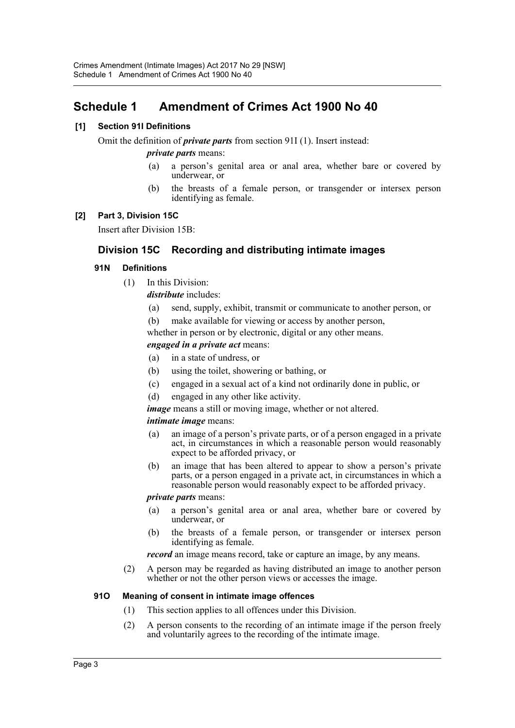# <span id="page-3-0"></span>**Schedule 1 Amendment of Crimes Act 1900 No 40**

#### **[1] Section 91I Definitions**

Omit the definition of *private parts* from section 91I (1). Insert instead:

#### *private parts* means:

- (a) a person's genital area or anal area, whether bare or covered by underwear, or
- (b) the breasts of a female person, or transgender or intersex person identifying as female.

#### **[2] Part 3, Division 15C**

Insert after Division 15B:

## **Division 15C Recording and distributing intimate images**

#### **91N Definitions**

(1) In this Division:

*distribute* includes:

- (a) send, supply, exhibit, transmit or communicate to another person, or
- (b) make available for viewing or access by another person,

whether in person or by electronic, digital or any other means.

#### *engaged in a private act* means:

- (a) in a state of undress, or
- (b) using the toilet, showering or bathing, or
- (c) engaged in a sexual act of a kind not ordinarily done in public, or
- (d) engaged in any other like activity.
- *image* means a still or moving image, whether or not altered.

#### *intimate image* means:

- (a) an image of a person's private parts, or of a person engaged in a private act, in circumstances in which a reasonable person would reasonably expect to be afforded privacy, or
- (b) an image that has been altered to appear to show a person's private parts, or a person engaged in a private act, in circumstances in which a reasonable person would reasonably expect to be afforded privacy.

#### *private parts* means:

- (a) a person's genital area or anal area, whether bare or covered by underwear, or
- (b) the breasts of a female person, or transgender or intersex person identifying as female.

*record* an image means record, take or capture an image, by any means.

(2) A person may be regarded as having distributed an image to another person whether or not the other person views or accesses the image.

#### **91O Meaning of consent in intimate image offences**

- (1) This section applies to all offences under this Division.
- (2) A person consents to the recording of an intimate image if the person freely and voluntarily agrees to the recording of the intimate image.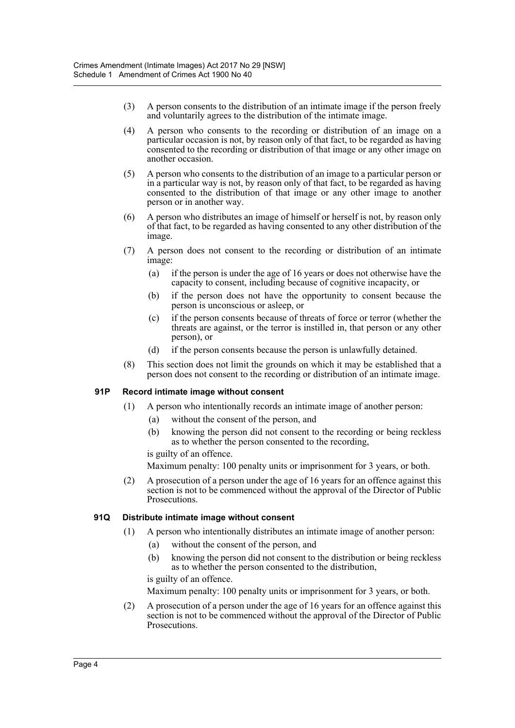- (3) A person consents to the distribution of an intimate image if the person freely and voluntarily agrees to the distribution of the intimate image.
- (4) A person who consents to the recording or distribution of an image on a particular occasion is not, by reason only of that fact, to be regarded as having consented to the recording or distribution of that image or any other image on another occasion.
- (5) A person who consents to the distribution of an image to a particular person or in a particular way is not, by reason only of that fact, to be regarded as having consented to the distribution of that image or any other image to another person or in another way.
- (6) A person who distributes an image of himself or herself is not, by reason only of that fact, to be regarded as having consented to any other distribution of the image.
- (7) A person does not consent to the recording or distribution of an intimate image:
	- (a) if the person is under the age of 16 years or does not otherwise have the capacity to consent, including because of cognitive incapacity, or
	- (b) if the person does not have the opportunity to consent because the person is unconscious or asleep, or
	- (c) if the person consents because of threats of force or terror (whether the threats are against, or the terror is instilled in, that person or any other person), or
	- (d) if the person consents because the person is unlawfully detained.
- (8) This section does not limit the grounds on which it may be established that a person does not consent to the recording or distribution of an intimate image.

#### **91P Record intimate image without consent**

- (1) A person who intentionally records an intimate image of another person:
	- (a) without the consent of the person, and
	- (b) knowing the person did not consent to the recording or being reckless as to whether the person consented to the recording,

is guilty of an offence.

Maximum penalty: 100 penalty units or imprisonment for 3 years, or both.

(2) A prosecution of a person under the age of 16 years for an offence against this section is not to be commenced without the approval of the Director of Public Prosecutions.

#### **91Q Distribute intimate image without consent**

- (1) A person who intentionally distributes an intimate image of another person:
	- (a) without the consent of the person, and
	- (b) knowing the person did not consent to the distribution or being reckless as to whether the person consented to the distribution,

is guilty of an offence.

Maximum penalty: 100 penalty units or imprisonment for 3 years, or both.

(2) A prosecution of a person under the age of 16 years for an offence against this section is not to be commenced without the approval of the Director of Public Prosecutions.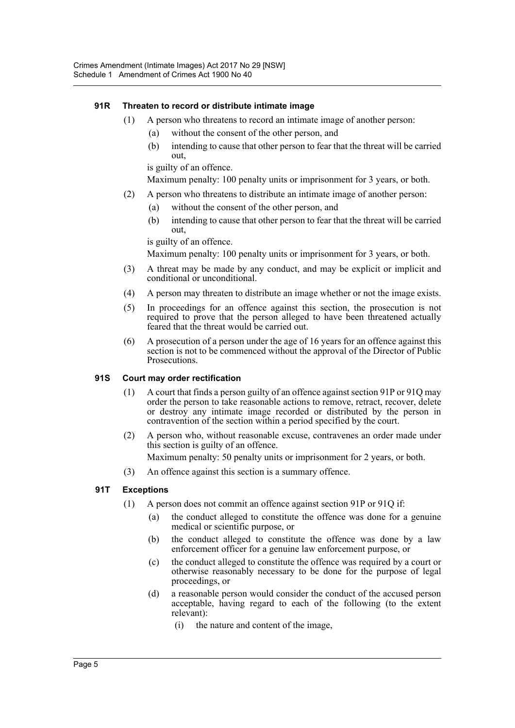#### **91R Threaten to record or distribute intimate image**

- (1) A person who threatens to record an intimate image of another person:
	- (a) without the consent of the other person, and
	- (b) intending to cause that other person to fear that the threat will be carried out,

is guilty of an offence.

Maximum penalty: 100 penalty units or imprisonment for 3 years, or both.

- (2) A person who threatens to distribute an intimate image of another person:
	- (a) without the consent of the other person, and
	- (b) intending to cause that other person to fear that the threat will be carried out,

is guilty of an offence.

Maximum penalty: 100 penalty units or imprisonment for 3 years, or both.

- (3) A threat may be made by any conduct, and may be explicit or implicit and conditional or unconditional.
- (4) A person may threaten to distribute an image whether or not the image exists.
- (5) In proceedings for an offence against this section, the prosecution is not required to prove that the person alleged to have been threatened actually feared that the threat would be carried out.
- (6) A prosecution of a person under the age of 16 years for an offence against this section is not to be commenced without the approval of the Director of Public Prosecutions.

#### **91S Court may order rectification**

- (1) A court that finds a person guilty of an offence against section 91P or 91Q may order the person to take reasonable actions to remove, retract, recover, delete or destroy any intimate image recorded or distributed by the person in contravention of the section within a period specified by the court.
- (2) A person who, without reasonable excuse, contravenes an order made under this section is guilty of an offence. Maximum penalty: 50 penalty units or imprisonment for 2 years, or both.
- (3) An offence against this section is a summary offence.

#### **91T Exceptions**

- (1) A person does not commit an offence against section 91P or 91Q if:
	- (a) the conduct alleged to constitute the offence was done for a genuine medical or scientific purpose, or
	- (b) the conduct alleged to constitute the offence was done by a law enforcement officer for a genuine law enforcement purpose, or
	- (c) the conduct alleged to constitute the offence was required by a court or otherwise reasonably necessary to be done for the purpose of legal proceedings, or
	- (d) a reasonable person would consider the conduct of the accused person acceptable, having regard to each of the following (to the extent relevant):
		- (i) the nature and content of the image,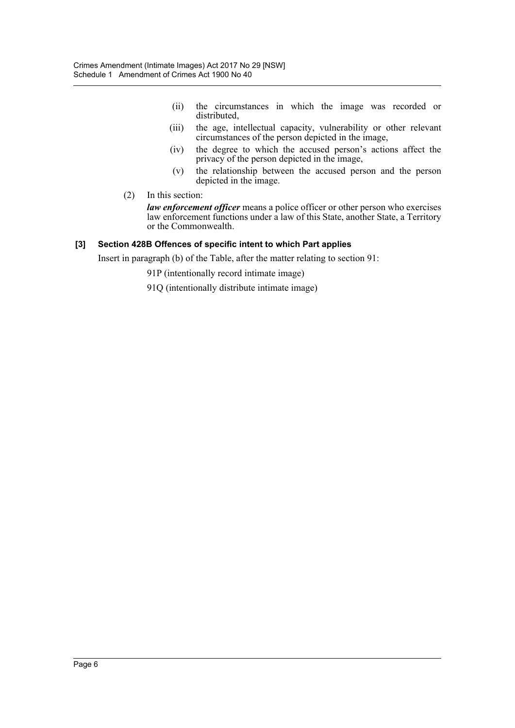- (ii) the circumstances in which the image was recorded or distributed,
- (iii) the age, intellectual capacity, vulnerability or other relevant circumstances of the person depicted in the image,
- (iv) the degree to which the accused person's actions affect the privacy of the person depicted in the image,
- (v) the relationship between the accused person and the person depicted in the image.
- (2) In this section:

*law enforcement officer* means a police officer or other person who exercises law enforcement functions under a law of this State, another State, a Territory or the Commonwealth.

#### **[3] Section 428B Offences of specific intent to which Part applies**

Insert in paragraph (b) of the Table, after the matter relating to section 91:

91P (intentionally record intimate image)

91Q (intentionally distribute intimate image)